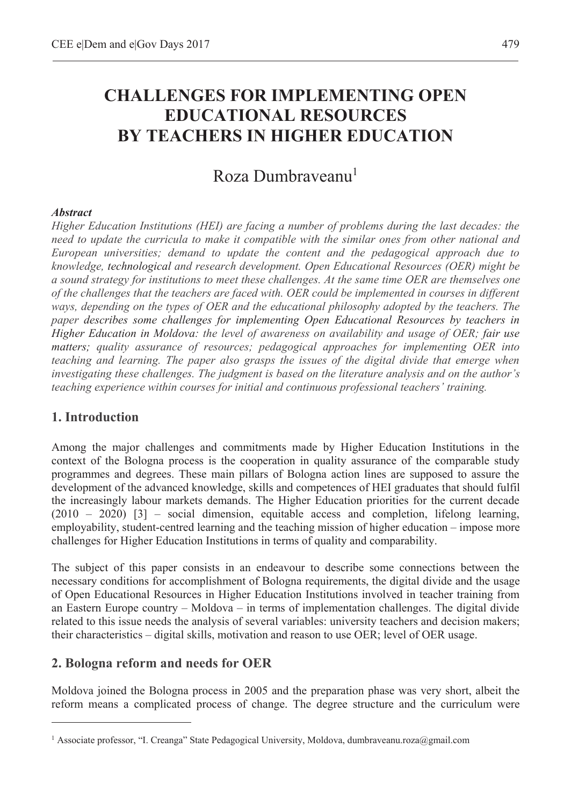# **CHALLENGES FOR IMPLEMENTING OPEN EDUCATIONAL RESOURCES BY TEACHERS IN HIGHER EDUCATION**

# Roza Dumbrayeanu<sup>1</sup>

#### *Abstract*

*Higher Education Institutions (HEI) are facing a number of problems during the last decades: the need to update the curricula to make it compatible with the similar ones from other national and European universities; demand to update the content and the pedagogical approach due to knowledge, technological and research development. Open Educational Resources (OER) might be a sound strategy for institutions to meet these challenges. At the same time OER are themselves one of the challenges that the teachers are faced with. OER could be implemented in courses in different ways, depending on the types of OER and the educational philosophy adopted by the teachers. The paper describes some challenges for implementing Open Educational Resources by teachers in Higher Education in Moldova: the level of awareness on availability and usage of OER; fair use matters; quality assurance of resources; pedagogical approaches for implementing OER into teaching and learning. The paper also grasps the issues of the digital divide that emerge when investigating these challenges. The judgment is based on the literature analysis and on the author's teaching experience within courses for initial and continuous professional teachers' training.*

## **1. Introduction**

 $\overline{a}$ 

Among the major challenges and commitments made by Higher Education Institutions in the context of the Bologna process is the cooperation in quality assurance of the comparable study programmes and degrees. These main pillars of Bologna action lines are supposed to assure the development of the advanced knowledge, skills and competences of HEI graduates that should fulfil the increasingly labour markets demands. The Higher Education priorities for the current decade (2010 – 2020) [3] – social dimension, equitable access and completion, lifelong learning, employability, student-centred learning and the teaching mission of higher education – impose more challenges for Higher Education Institutions in terms of quality and comparability.

The subject of this paper consists in an endeavour to describe some connections between the necessary conditions for accomplishment of Bologna requirements, the digital divide and the usage of Open Educational Resources in Higher Education Institutions involved in teacher training from an Eastern Europe country – Moldova – in terms of implementation challenges. The digital divide related to this issue needs the analysis of several variables: university teachers and decision makers; their characteristics – digital skills, motivation and reason to use OER; level of OER usage.

## **2. Bologna reform and needs for OER**

Moldova joined the Bologna process in 2005 and the preparation phase was very short, albeit the reform means a complicated process of change. The degree structure and the curriculum were

<sup>1</sup> Associate professor, "I. Creanga" State Pedagogical University, Moldova, dumbraveanu.roza@gmail.com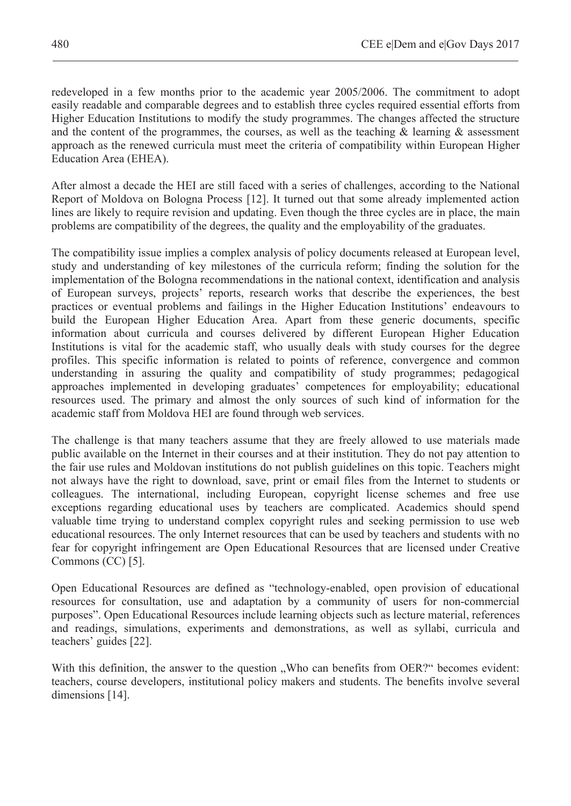redeveloped in a few months prior to the academic year 2005/2006. The commitment to adopt easily readable and comparable degrees and to establish three cycles required essential efforts from Higher Education Institutions to modify the study programmes. The changes affected the structure and the content of the programmes, the courses, as well as the teaching  $\&$  learning  $\&$  assessment approach as the renewed curricula must meet the criteria of compatibility within European Higher Education Area (EHEA).

After almost a decade the HEI are still faced with a series of challenges, according to the National Report of Moldova on Bologna Process [12]. It turned out that some already implemented action lines are likely to require revision and updating. Even though the three cycles are in place, the main problems are compatibility of the degrees, the quality and the employability of the graduates.

The compatibility issue implies a complex analysis of policy documents released at European level, study and understanding of key milestones of the curricula reform; finding the solution for the implementation of the Bologna recommendations in the national context, identification and analysis of European surveys, projects' reports, research works that describe the experiences, the best practices or eventual problems and failings in the Higher Education Institutions' endeavours to build the European Higher Education Area. Apart from these generic documents, specific information about curricula and courses delivered by different European Higher Education Institutions is vital for the academic staff, who usually deals with study courses for the degree profiles. This specific information is related to points of reference, convergence and common understanding in assuring the quality and compatibility of study programmes; pedagogical approaches implemented in developing graduates' competences for employability; educational resources used. The primary and almost the only sources of such kind of information for the academic staff from Moldova HEI are found through web services.

The challenge is that many teachers assume that they are freely allowed to use materials made public available on the Internet in their courses and at their institution. They do not pay attention to the fair use rules and Moldovan institutions do not publish guidelines on this topic. Teachers might not always have the right to download, save, print or email files from the Internet to students or colleagues. The international, including European, copyright license schemes and free use exceptions regarding educational uses by teachers are complicated. Academics should spend valuable time trying to understand complex copyright rules and seeking permission to use web educational resources. The only Internet resources that can be used by teachers and students with no fear for copyright infringement are Open Educational Resources that are licensed under Creative Commons (CC) [5].

Open Educational Resources are defined as "technology-enabled, open provision of educational resources for consultation, use and adaptation by a community of users for non-commercial purposes". Open Educational Resources include learning objects such as lecture material, references and readings, simulations, experiments and demonstrations, as well as syllabi, curricula and teachers' guides [22].

With this definition, the answer to the question . Who can benefits from OER?" becomes evident: teachers, course developers, institutional policy makers and students. The benefits involve several dimensions [14].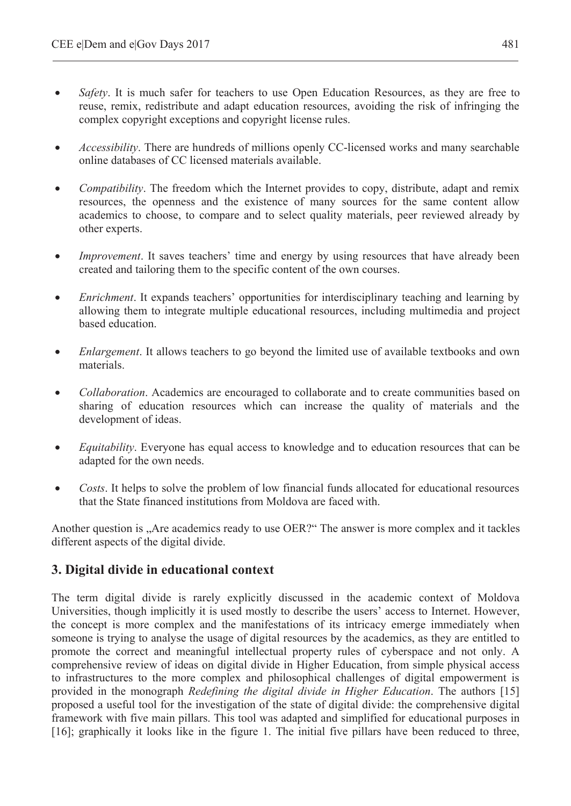- *Safety*. It is much safer for teachers to use Open Education Resources, as they are free to reuse, remix, redistribute and adapt education resources, avoiding the risk of infringing the complex copyright exceptions and copyright license rules.
- *Accessibility*. There are hundreds of millions openly CC-licensed works and many searchable online databases of CC licensed materials available.
- *Compatibility*. The freedom which the Internet provides to copy, distribute, adapt and remix resources, the openness and the existence of many sources for the same content allow academics to choose, to compare and to select quality materials, peer reviewed already by other experts.
- *Improvement*. It saves teachers' time and energy by using resources that have already been created and tailoring them to the specific content of the own courses.
- *Enrichment*. It expands teachers' opportunities for interdisciplinary teaching and learning by allowing them to integrate multiple educational resources, including multimedia and project based education.
- *Enlargement*. It allows teachers to go beyond the limited use of available textbooks and own materials.
- *Collaboration*. Academics are encouraged to collaborate and to create communities based on sharing of education resources which can increase the quality of materials and the development of ideas.
- *Equitability*. Everyone has equal access to knowledge and to education resources that can be adapted for the own needs.
- *Costs*. It helps to solve the problem of low financial funds allocated for educational resources that the State financed institutions from Moldova are faced with.

Another question is "Are academics ready to use OER?" The answer is more complex and it tackles different aspects of the digital divide.

## **3. Digital divide in educational context**

The term digital divide is rarely explicitly discussed in the academic context of Moldova Universities, though implicitly it is used mostly to describe the users' access to Internet. However, the concept is more complex and the manifestations of its intricacy emerge immediately when someone is trying to analyse the usage of digital resources by the academics, as they are entitled to promote the correct and meaningful intellectual property rules of cyberspace and not only. A comprehensive review of ideas on digital divide in Higher Education, from simple physical access to infrastructures to the more complex and philosophical challenges of digital empowerment is provided in the monograph *Redefining the digital divide in Higher Education*. The authors [15] proposed a useful tool for the investigation of the state of digital divide: the comprehensive digital framework with five main pillars. This tool was adapted and simplified for educational purposes in [16]; graphically it looks like in the figure 1. The initial five pillars have been reduced to three,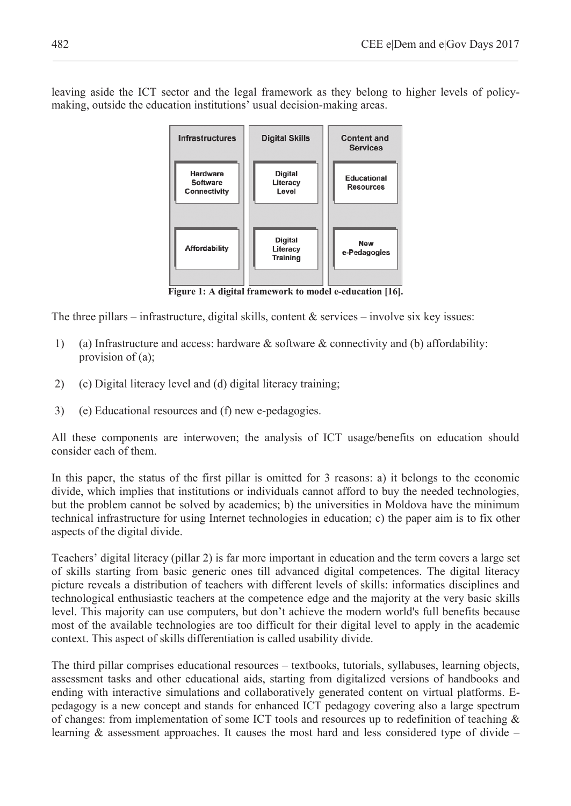leaving aside the ICT sector and the legal framework as they belong to higher levels of policymaking, outside the education institutions' usual decision-making areas.



**Figure 1: A digital framework to model e-education [16].** 

The three pillars – infrastructure, digital skills, content  $\&$  services – involve six key issues:

- 1) (a) Infrastructure and access: hardware & software & connectivity and (b) affordability: provision of (a):
- 2) (c) Digital literacy level and (d) digital literacy training;
- 3) (e) Educational resources and (f) new e-pedagogies.

All these components are interwoven; the analysis of ICT usage/benefits on education should consider each of them.

In this paper, the status of the first pillar is omitted for 3 reasons: a) it belongs to the economic divide, which implies that institutions or individuals cannot afford to buy the needed technologies, but the problem cannot be solved by academics; b) the universities in Moldova have the minimum technical infrastructure for using Internet technologies in education; c) the paper aim is to fix other aspects of the digital divide.

Teachers' digital literacy (pillar 2) is far more important in education and the term covers a large set of skills starting from basic generic ones till advanced digital competences. The digital literacy picture reveals a distribution of teachers with different levels of skills: informatics disciplines and technological enthusiastic teachers at the competence edge and the majority at the very basic skills level. This majority can use computers, but don't achieve the modern world's full benefits because most of the available technologies are too difficult for their digital level to apply in the academic context. This aspect of skills differentiation is called usability divide.

The third pillar comprises educational resources – textbooks, tutorials, syllabuses, learning objects, assessment tasks and other educational aids, starting from digitalized versions of handbooks and ending with interactive simulations and collaboratively generated content on virtual platforms. Epedagogy is a new concept and stands for enhanced ICT pedagogy covering also a large spectrum of changes: from implementation of some ICT tools and resources up to redefinition of teaching & learning  $\&$  assessment approaches. It causes the most hard and less considered type of divide –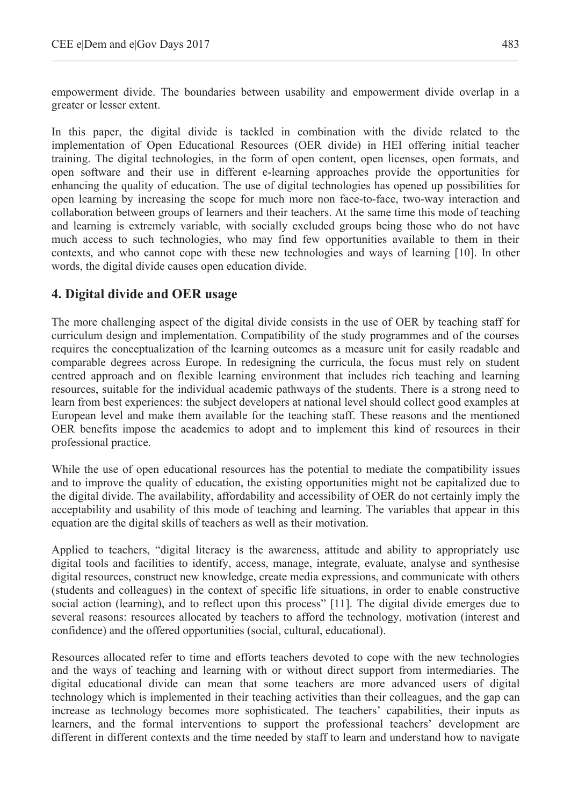empowerment divide. The boundaries between usability and empowerment divide overlap in a greater or lesser extent.

In this paper, the digital divide is tackled in combination with the divide related to the implementation of Open Educational Resources (OER divide) in HEI offering initial teacher training. The digital technologies, in the form of open content, open licenses, open formats, and open software and their use in different e-learning approaches provide the opportunities for enhancing the quality of education. The use of digital technologies has opened up possibilities for open learning by increasing the scope for much more non face-to-face, two-way interaction and collaboration between groups of learners and their teachers. At the same time this mode of teaching and learning is extremely variable, with socially excluded groups being those who do not have much access to such technologies, who may find few opportunities available to them in their contexts, and who cannot cope with these new technologies and ways of learning [10]. In other words, the digital divide causes open education divide.

# **4. Digital divide and OER usage**

The more challenging aspect of the digital divide consists in the use of OER by teaching staff for curriculum design and implementation. Compatibility of the study programmes and of the courses requires the conceptualization of the learning outcomes as a measure unit for easily readable and comparable degrees across Europe. In redesigning the curricula, the focus must rely on student centred approach and on flexible learning environment that includes rich teaching and learning resources, suitable for the individual academic pathways of the students. There is a strong need to learn from best experiences: the subject developers at national level should collect good examples at European level and make them available for the teaching staff. These reasons and the mentioned OER benefits impose the academics to adopt and to implement this kind of resources in their professional practice.

While the use of open educational resources has the potential to mediate the compatibility issues and to improve the quality of education, the existing opportunities might not be capitalized due to the digital divide. The availability, affordability and accessibility of OER do not certainly imply the acceptability and usability of this mode of teaching and learning. The variables that appear in this equation are the digital skills of teachers as well as their motivation.

Applied to teachers, "digital literacy is the awareness, attitude and ability to appropriately use digital tools and facilities to identify, access, manage, integrate, evaluate, analyse and synthesise digital resources, construct new knowledge, create media expressions, and communicate with others (students and colleagues) in the context of specific life situations, in order to enable constructive social action (learning), and to reflect upon this process" [11]. The digital divide emerges due to several reasons: resources allocated by teachers to afford the technology, motivation (interest and confidence) and the offered opportunities (social, cultural, educational).

Resources allocated refer to time and efforts teachers devoted to cope with the new technologies and the ways of teaching and learning with or without direct support from intermediaries. The digital educational divide can mean that some teachers are more advanced users of digital technology which is implemented in their teaching activities than their colleagues, and the gap can increase as technology becomes more sophisticated. The teachers' capabilities, their inputs as learners, and the formal interventions to support the professional teachers' development are different in different contexts and the time needed by staff to learn and understand how to navigate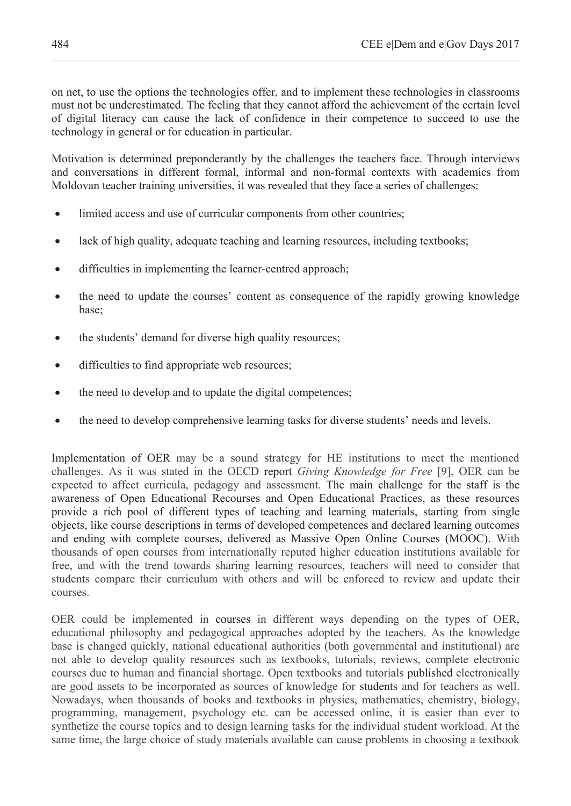on net, to use the options the technologies offer, and to implement these technologies in classrooms must not be underestimated. The feeling that they cannot afford the achievement of the certain level of digital literacy can cause the lack of confidence in their competence to succeed to use the technology in general or for education in particular.

Motivation is determined preponderantly by the challenges the teachers face. Through interviews and conversations in different formal, informal and non-formal contexts with academics from Moldovan teacher training universities, it was revealed that they face a series of challenges:

- limited access and use of curricular components from other countries;
- lack of high quality, adequate teaching and learning resources, including textbooks;
- difficulties in implementing the learner-centred approach;
- x the need to update the courses' content as consequence of the rapidly growing knowledge base;
- the students' demand for diverse high quality resources;
- difficulties to find appropriate web resources;
- the need to develop and to update the digital competences;
- the need to develop comprehensive learning tasks for diverse students' needs and levels.

Implementation of OER may be a sound strategy for HE institutions to meet the mentioned challenges. As it was stated in the OECD report *Giving Knowledge for Free* [9], OER can be expected to affect curricula, pedagogy and assessment. The main challenge for the staff is the awareness of Open Educational Recourses and Open Educational Practices, as these resources provide a rich pool of different types of teaching and learning materials, starting from single objects, like course descriptions in terms of developed competences and declared learning outcomes and ending with complete courses, delivered as Massive Open Online Courses (MOOC). With thousands of open courses from internationally reputed higher education institutions available for free, and with the trend towards sharing learning resources, teachers will need to consider that students compare their curriculum with others and will be enforced to review and update their courses.

OER could be implemented in courses in different ways depending on the types of OER, educational philosophy and pedagogical approaches adopted by the teachers. As the knowledge base is changed quickly, national educational authorities (both governmental and institutional) are not able to develop quality resources such as textbooks, tutorials, reviews, complete electronic courses due to human and financial shortage. Open textbooks and tutorials published electronically are good assets to be incorporated as sources of knowledge for students and for teachers as well. Nowadays, when thousands of books and textbooks in physics, mathematics, chemistry, biology, programming, management, psychology etc. can be accessed online, it is easier than ever to synthetize the course topics and to design learning tasks for the individual student workload. At the same time, the large choice of study materials available can cause problems in choosing a textbook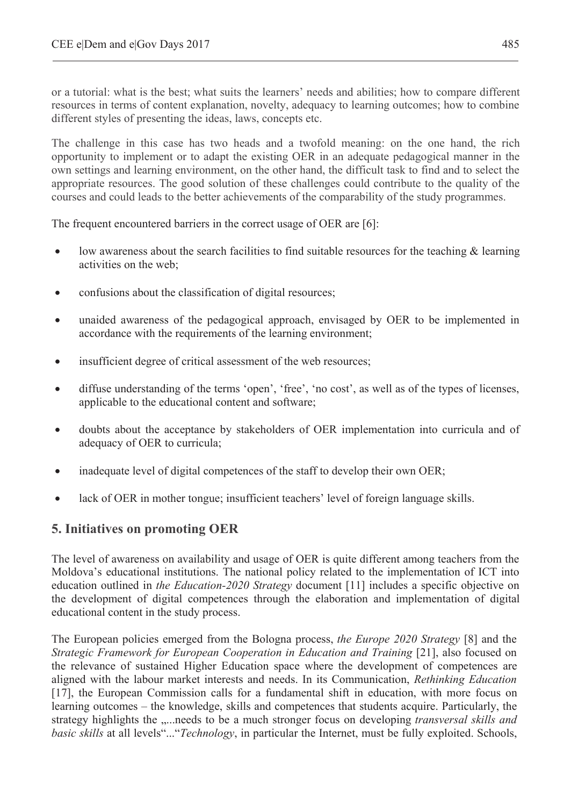or a tutorial: what is the best; what suits the learners' needs and abilities; how to compare different resources in terms of content explanation, novelty, adequacy to learning outcomes; how to combine different styles of presenting the ideas, laws, concepts etc.

The challenge in this case has two heads and a twofold meaning: on the one hand, the rich opportunity to implement or to adapt the existing OER in an adequate pedagogical manner in the own settings and learning environment, on the other hand, the difficult task to find and to select the appropriate resources. The good solution of these challenges could contribute to the quality of the courses and could leads to the better achievements of the comparability of the study programmes.

The frequent encountered barriers in the correct usage of OER are [6]:

- $\bullet$  low awareness about the search facilities to find suitable resources for the teaching  $\&$  learning activities on the web;
- confusions about the classification of digital resources;
- unaided awareness of the pedagogical approach, envisaged by OER to be implemented in accordance with the requirements of the learning environment;
- insufficient degree of critical assessment of the web resources;
- x diffuse understanding of the terms 'open', 'free', 'no cost', as well as of the types of licenses, applicable to the educational content and software;
- doubts about the acceptance by stakeholders of OER implementation into curricula and of adequacy of OER to curricula;
- inadequate level of digital competences of the staff to develop their own OER;
- lack of OER in mother tongue; insufficient teachers' level of foreign language skills.

## **5. Initiatives on promoting OER**

The level of awareness on availability and usage of OER is quite different among teachers from the Moldova's educational institutions. The national policy related to the implementation of ICT into education outlined in *the Education-2020 Strategy* document [11] includes a specific objective on the development of digital competences through the elaboration and implementation of digital educational content in the study process.

The European policies emerged from the Bologna process, *the Europe 2020 Strategy* [8] and the *Strategic Framework for European Cooperation in Education and Training* [21], also focused on the relevance of sustained Higher Education space where the development of competences are aligned with the labour market interests and needs. In its Communication, *Rethinking Education* [17], the European Commission calls for a fundamental shift in education, with more focus on learning outcomes – the knowledge, skills and competences that students acquire. Particularly, the strategy highlights the .....needs to be a much stronger focus on developing *transversal skills and basic skills* at all levels"..."*Technology*, in particular the Internet, must be fully exploited. Schools,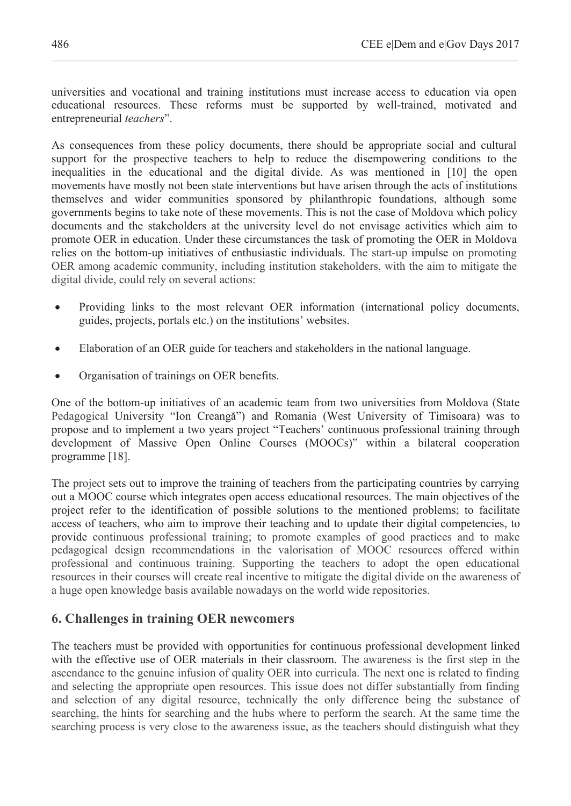universities and vocational and training institutions must increase access to education via open educational resources. These reforms must be supported by well-trained, motivated and entrepreneurial *teachers*".

As consequences from these policy documents, there should be appropriate social and cultural support for the prospective teachers to help to reduce the disempowering conditions to the inequalities in the educational and the digital divide. As was mentioned in [10] the open movements have mostly not been state interventions but have arisen through the acts of institutions themselves and wider communities sponsored by philanthropic foundations, although some governments begins to take note of these movements. This is not the case of Moldova which policy documents and the stakeholders at the university level do not envisage activities which aim to promote OER in education. Under these circumstances the task of promoting the OER in Moldova relies on the bottom-up initiatives of enthusiastic individuals. The start-up impulse on promoting OER among academic community, including institution stakeholders, with the aim to mitigate the digital divide, could rely on several actions:

- Providing links to the most relevant OER information (international policy documents, guides, projects, portals etc.) on the institutions' websites.
- x Elaboration of an OER guide for teachers and stakeholders in the national language.
- Organisation of trainings on OER benefits.

One of the bottom-up initiatives of an academic team from two universities from Moldova (State Pedagogical University "Ion Creangă") and Romania (West University of Timisoara) was to propose and to implement a two years project "Teachers' continuous professional training through development of Massive Open Online Courses (MOOCs)" within a bilateral cooperation programme [18].

The project sets out to improve the training of teachers from the participating countries by carrying out a MOOC course which integrates open access educational resources. The main objectives of the project refer to the identification of possible solutions to the mentioned problems; to facilitate access of teachers, who aim to improve their teaching and to update their digital competencies, to provide continuous professional training; to promote examples of good practices and to make pedagogical design recommendations in the valorisation of MOOC resources offered within professional and continuous training. Supporting the teachers to adopt the open educational resources in their courses will create real incentive to mitigate the digital divide on the awareness of a huge open knowledge basis available nowadays on the world wide repositories.

## **6. Challenges in training OER newcomers**

The teachers must be provided with opportunities for continuous professional development linked with the effective use of OER materials in their classroom. The awareness is the first step in the ascendance to the genuine infusion of quality OER into curricula. The next one is related to finding and selecting the appropriate open resources. This issue does not differ substantially from finding and selection of any digital resource, technically the only difference being the substance of searching, the hints for searching and the hubs where to perform the search. At the same time the searching process is very close to the awareness issue, as the teachers should distinguish what they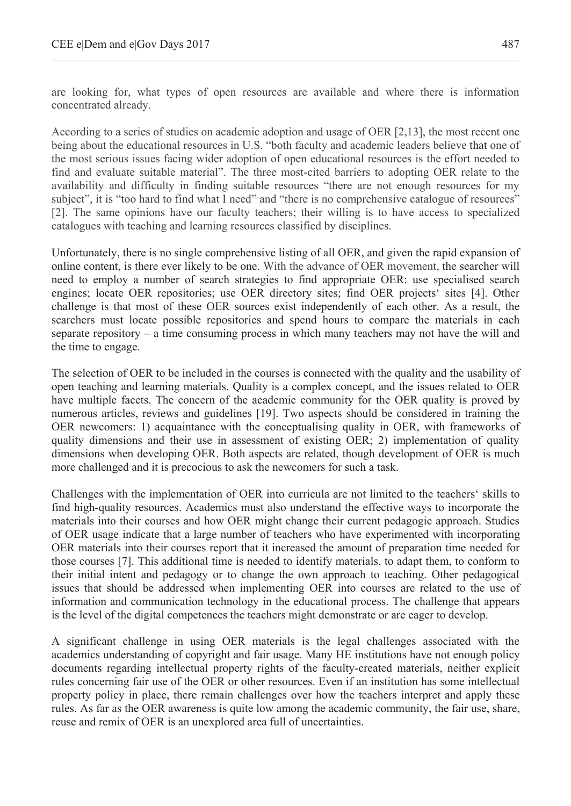are looking for, what types of open resources are available and where there is information concentrated already.

According to a series of studies on academic adoption and usage of OER [2,13], the most recent one being about the educational resources in U.S. "both faculty and academic leaders believe that one of the most serious issues facing wider adoption of open educational resources is the effort needed to find and evaluate suitable material". The three most-cited barriers to adopting OER relate to the availability and difficulty in finding suitable resources "there are not enough resources for my subject", it is "too hard to find what I need" and "there is no comprehensive catalogue of resources" [2]. The same opinions have our faculty teachers; their willing is to have access to specialized catalogues with teaching and learning resources classified by disciplines.

Unfortunately, there is no single comprehensive listing of all OER, and given the rapid expansion of online content, is there ever likely to be one. With the advance of OER movement, the searcher will need to employ a number of search strategies to find appropriate OER: use specialised search engines; locate OER repositories; use OER directory sites; find OER projects' sites [4]. Other challenge is that most of these OER sources exist independently of each other. As a result, the searchers must locate possible repositories and spend hours to compare the materials in each separate repository – a time consuming process in which many teachers may not have the will and the time to engage.

The selection of OER to be included in the courses is connected with the quality and the usability of open teaching and learning materials. Quality is a complex concept, and the issues related to OER have multiple facets. The concern of the academic community for the OER quality is proved by numerous articles, reviews and guidelines [19]. Two aspects should be considered in training the OER newcomers: 1) acquaintance with the conceptualising quality in OER, with frameworks of quality dimensions and their use in assessment of existing OER; 2) implementation of quality dimensions when developing OER. Both aspects are related, though development of OER is much more challenged and it is precocious to ask the newcomers for such a task.

Challenges with the implementation of OER into curricula are not limited to the teachers' skills to find high-quality resources. Academics must also understand the effective ways to incorporate the materials into their courses and how OER might change their current pedagogic approach. Studies of OER usage indicate that a large number of teachers who have experimented with incorporating OER materials into their courses report that it increased the amount of preparation time needed for those courses [7]. This additional time is needed to identify materials, to adapt them, to conform to their initial intent and pedagogy or to change the own approach to teaching. Other pedagogical issues that should be addressed when implementing OER into courses are related to the use of information and communication technology in the educational process. The challenge that appears is the level of the digital competences the teachers might demonstrate or are eager to develop.

A significant challenge in using OER materials is the legal challenges associated with the academics understanding of copyright and fair usage. Many HE institutions have not enough policy documents regarding intellectual property rights of the faculty-created materials, neither explicit rules concerning fair use of the OER or other resources. Even if an institution has some intellectual property policy in place, there remain challenges over how the teachers interpret and apply these rules. As far as the OER awareness is quite low among the academic community, the fair use, share, reuse and remix of OER is an unexplored area full of uncertainties.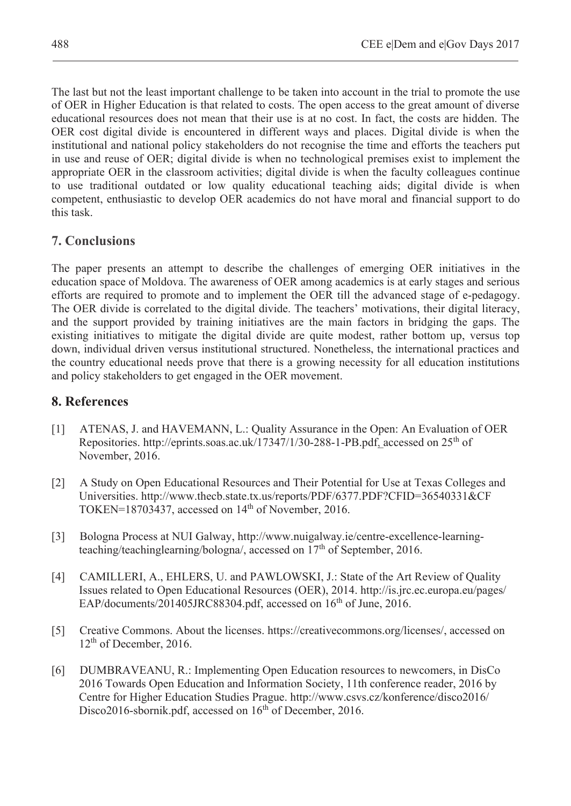The last but not the least important challenge to be taken into account in the trial to promote the use of OER in Higher Education is that related to costs. The open access to the great amount of diverse educational resources does not mean that their use is at no cost. In fact, the costs are hidden. The OER cost digital divide is encountered in different ways and places. Digital divide is when the institutional and national policy stakeholders do not recognise the time and efforts the teachers put in use and reuse of OER; digital divide is when no technological premises exist to implement the appropriate OER in the classroom activities; digital divide is when the faculty colleagues continue to use traditional outdated or low quality educational teaching aids; digital divide is when competent, enthusiastic to develop OER academics do not have moral and financial support to do this task.

# **7. Conclusions**

The paper presents an attempt to describe the challenges of emerging OER initiatives in the education space of Moldova. The awareness of OER among academics is at early stages and serious efforts are required to promote and to implement the OER till the advanced stage of e-pedagogy. The OER divide is correlated to the digital divide. The teachers' motivations, their digital literacy, and the support provided by training initiatives are the main factors in bridging the gaps. The existing initiatives to mitigate the digital divide are quite modest, rather bottom up, versus top down, individual driven versus institutional structured. Nonetheless, the international practices and the country educational needs prove that there is a growing necessity for all education institutions and policy stakeholders to get engaged in the OER movement.

# **8. References**

- [1] ATENAS, J. and HAVEMANN, L.: Quality Assurance in the Open: An Evaluation of OER Repositories. http://eprints.soas.ac.uk/17347/1/30-288-1-PB.pdf, accessed on  $25<sup>th</sup>$  of November, 2016.
- [2] A Study on Open Educational Resources and Their Potential for Use at Texas Colleges and Universities. http://www.thecb.state.tx.us/reports/PDF/6377.PDF?CFID=36540331&CF TOKEN=18703437, accessed on  $14<sup>th</sup>$  of November, 2016.
- [3] Bologna Process at NUI Galway, http://www.nuigalway.ie/centre-excellence-learningteaching/teachinglearning/bologna/, accessed on  $17<sup>th</sup>$  of September, 2016.
- [4] CAMILLERI, A., EHLERS, U. and PAWLOWSKI, J.: State of the Art Review of Quality Issues related to Open Educational Resources (OER), 2014. http://is.jrc.ec.europa.eu/pages/ EAP/documents/201405JRC88304.pdf, accessed on 16<sup>th</sup> of June, 2016.
- [5] Creative Commons. About the licenses. https://creativecommons.org/licenses/, accessed on  $12<sup>th</sup>$  of December, 2016.
- [6] DUMBRAVEANU, R.: Implementing Open Education resources to newcomers, in DisCo 2016 Towards Open Education and Information Society, 11th conference reader, 2016 by Centre for Higher Education Studies Prague. http://www.csvs.cz/konference/disco2016/ Disco2016-sbornik.pdf, accessed on 16<sup>th</sup> of December, 2016.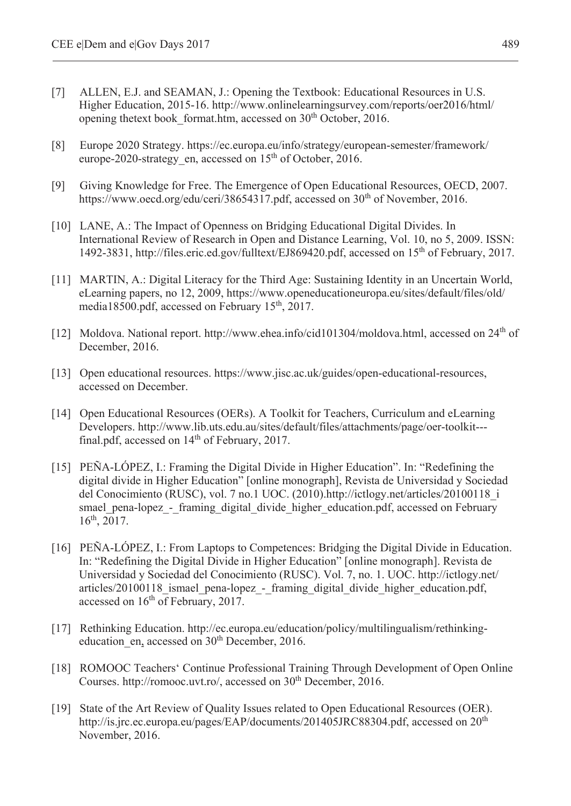- [7] ALLEN, E.J. and SEAMAN, J.: Opening the Textbook: Educational Resources in U.S. Higher Education, 2015-16. http://www.onlinelearningsurvey.com/reports/oer2016/html/ opening thetext book format.htm, accessed on 30<sup>th</sup> October, 2016.
- [8] Europe 2020 Strategy. https://ec.europa.eu/info/strategy/european-semester/framework/ europe-2020-strategy en, accessed on 15<sup>th</sup> of October, 2016.
- [9] Giving Knowledge for Free. The Emergence of Open Educational Resources, OECD, 2007. https://www.oecd.org/edu/ceri/38654317.pdf, accessed on 30<sup>th</sup> of November, 2016.
- [10] LANE, A.: The Impact of Openness on Bridging Educational Digital Divides. In International Review of Research in Open and Distance Learning, Vol. 10, no 5, 2009. ISSN: 1492-3831, http://files.eric.ed.gov/fulltext/EJ869420.pdf, accessed on 15th of February, 2017.
- [11] MARTIN, A.: Digital Literacy for the Third Age: Sustaining Identity in an Uncertain World. eLearning papers, no 12, 2009, https://www.openeducationeuropa.eu/sites/default/files/old/ media18500.pdf, accessed on February 15th, 2017.
- [12] Moldova. National report. http://www.ehea.info/cid101304/moldova.html, accessed on 24<sup>th</sup> of December, 2016.
- [13] Open educational resources. https://www.jisc.ac.uk/guides/open-educational-resources, accessed on December.
- [14] Open Educational Resources (OERs). A Toolkit for Teachers, Curriculum and eLearning Developers. http://www.lib.uts.edu.au/sites/default/files/attachments/page/oer-toolkit-- final.pdf, accessed on  $14<sup>th</sup>$  of February, 2017.
- [15] PEÑA-LÓPEZ, I.: Framing the Digital Divide in Higher Education". In: "Redefining the digital divide in Higher Education" [online monograph], Revista de Universidad y Sociedad del Conocimiento (RUSC), vol. 7 no.1 UOC. (2010).http://ictlogy.net/articles/20100118\_i smael\_pena-lopez\_-\_framing\_digital\_divide\_higher\_education.pdf, accessed on February 16th, 2017.
- [16] PEÑA-LÓPEZ, I.: From Laptops to Competences: Bridging the Digital Divide in Education. In: "Redefining the Digital Divide in Higher Education" [online monograph]. Revista de Universidad y Sociedad del Conocimiento (RUSC). Vol. 7, no. 1. UOC. http://ictlogy.net/ articles/20100118\_ismael\_pena-lopez\_-\_framing\_digital\_divide\_higher\_education.pdf, accessed on 16<sup>th</sup> of February, 2017.
- [17] Rethinking Education. http://ec.europa.eu/education/policy/multilingualism/rethinkingeducation en, accessed on 30<sup>th</sup> December, 2016.
- [18] ROMOOC Teachers' Continue Professional Training Through Development of Open Online Courses. http://romooc.uvt.ro/, accessed on 30<sup>th</sup> December, 2016.
- [19] State of the Art Review of Quality Issues related to Open Educational Resources (OER). http://is.jrc.ec.europa.eu/pages/EAP/documents/201405JRC88304.pdf, accessed on 20<sup>th</sup> November, 2016.